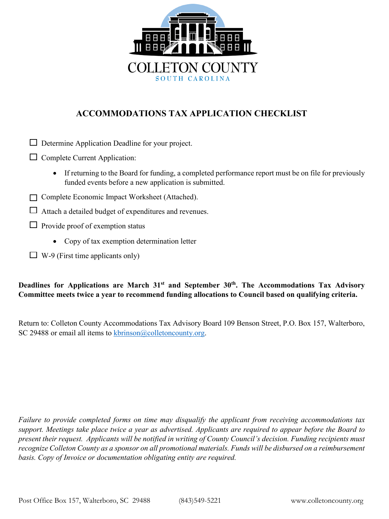

# **ACCOMMODATIONS TAX APPLICATION CHECKLIST**

| Determine Application Deadline for your project.<br>ப                                                                                                                     |  |  |  |
|---------------------------------------------------------------------------------------------------------------------------------------------------------------------------|--|--|--|
| Complete Current Application:                                                                                                                                             |  |  |  |
| If returning to the Board for funding, a completed performance report must be on file for previously<br>$\bullet$<br>funded events before a new application is submitted. |  |  |  |
| Complete Economic Impact Worksheet (Attached).                                                                                                                            |  |  |  |
| Attach a detailed budget of expenditures and revenues.                                                                                                                    |  |  |  |
| Provide proof of exemption status                                                                                                                                         |  |  |  |
| Copy of tax exemption determination letter<br>$\bullet$                                                                                                                   |  |  |  |

 $\Box$  W-9 (First time applicants only)

## **Deadlines for Applications are March 31st and September 30th. The Accommodations Tax Advisory Committee meets twice a year to recommend funding allocations to Council based on qualifying criteria.**

Return to: Colleton County Accommodations Tax Advisory Board 109 Benson Street, P.O. Box 157, Walterboro, SC 29488 or email all items to [kbrinson@colletoncounty.org.](mailto:kbrinson@colletoncounty.org)

*Failure to provide completed forms on time may disqualify the applicant from receiving accommodations tax support. Meetings take place twice a year as advertised. Applicants are required to appear before the Board to present their request. Applicants will be notified in writing of County Council's decision. Funding recipients must recognize Colleton County as a sponsor on all promotional materials. Funds will be disbursed on a reimbursement basis. Copy of Invoice or documentation obligating entity are required.*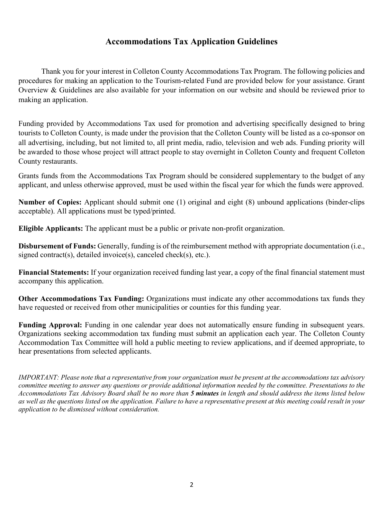### **Accommodations Tax Application Guidelines**

Thank you for your interest in Colleton County Accommodations Tax Program. The following policies and procedures for making an application to the Tourism-related Fund are provided below for your assistance. Grant Overview & Guidelines are also available for your information on our website and should be reviewed prior to making an application.

Funding provided by Accommodations Tax used for promotion and advertising specifically designed to bring tourists to Colleton County, is made under the provision that the Colleton County will be listed as a co-sponsor on all advertising, including, but not limited to, all print media, radio, television and web ads. Funding priority will be awarded to those whose project will attract people to stay overnight in Colleton County and frequent Colleton County restaurants.

Grants funds from the Accommodations Tax Program should be considered supplementary to the budget of any applicant, and unless otherwise approved, must be used within the fiscal year for which the funds were approved.

**Number of Copies:** Applicant should submit one (1) original and eight (8) unbound applications (binder-clips acceptable). All applications must be typed/printed.

**Eligible Applicants:** The applicant must be a public or private non-profit organization.

**Disbursement of Funds:** Generally, funding is of the reimbursement method with appropriate documentation (i.e., signed contract(s), detailed invoice(s), canceled check(s), etc.).

**Financial Statements:** If your organization received funding last year, a copy of the final financial statement must accompany this application.

**Other Accommodations Tax Funding:** Organizations must indicate any other accommodations tax funds they have requested or received from other municipalities or counties for this funding year.

**Funding Approval:** Funding in one calendar year does not automatically ensure funding in subsequent years. Organizations seeking accommodation tax funding must submit an application each year. The Colleton County Accommodation Tax Committee will hold a public meeting to review applications, and if deemed appropriate, to hear presentations from selected applicants.

*IMPORTANT: Please note that a representative from your organization must be present at the accommodations tax advisory committee meeting to answer any questions or provide additional information needed by the committee. Presentations to the Accommodations Tax Advisory Board shall be no more than 5 minutes in length and should address the items listed below as well as the questions listed on the application. Failure to have a representative present at this meeting could result in your application to be dismissed without consideration.*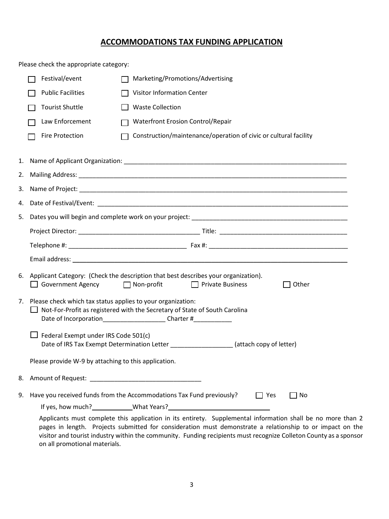### **ACCOMMODATIONS TAX FUNDING APPLICATION**

|    | Please check the appropriate category:                                                                                                                                                                                                                                                                                                                                      |                                                                                                                                                                                                                                                                                             |  |  |
|----|-----------------------------------------------------------------------------------------------------------------------------------------------------------------------------------------------------------------------------------------------------------------------------------------------------------------------------------------------------------------------------|---------------------------------------------------------------------------------------------------------------------------------------------------------------------------------------------------------------------------------------------------------------------------------------------|--|--|
|    | Festival/event                                                                                                                                                                                                                                                                                                                                                              | Marketing/Promotions/Advertising                                                                                                                                                                                                                                                            |  |  |
|    | <b>Public Facilities</b>                                                                                                                                                                                                                                                                                                                                                    | Visitor Information Center                                                                                                                                                                                                                                                                  |  |  |
|    | <b>Tourist Shuttle</b>                                                                                                                                                                                                                                                                                                                                                      | <b>Waste Collection</b>                                                                                                                                                                                                                                                                     |  |  |
|    | Law Enforcement                                                                                                                                                                                                                                                                                                                                                             | <b>Waterfront Erosion Control/Repair</b>                                                                                                                                                                                                                                                    |  |  |
|    | <b>Fire Protection</b>                                                                                                                                                                                                                                                                                                                                                      | Construction/maintenance/operation of civic or cultural facility                                                                                                                                                                                                                            |  |  |
| 1. |                                                                                                                                                                                                                                                                                                                                                                             |                                                                                                                                                                                                                                                                                             |  |  |
| 2. |                                                                                                                                                                                                                                                                                                                                                                             |                                                                                                                                                                                                                                                                                             |  |  |
| 3. |                                                                                                                                                                                                                                                                                                                                                                             |                                                                                                                                                                                                                                                                                             |  |  |
| 4. |                                                                                                                                                                                                                                                                                                                                                                             |                                                                                                                                                                                                                                                                                             |  |  |
| 5. |                                                                                                                                                                                                                                                                                                                                                                             |                                                                                                                                                                                                                                                                                             |  |  |
|    |                                                                                                                                                                                                                                                                                                                                                                             |                                                                                                                                                                                                                                                                                             |  |  |
|    |                                                                                                                                                                                                                                                                                                                                                                             |                                                                                                                                                                                                                                                                                             |  |  |
|    |                                                                                                                                                                                                                                                                                                                                                                             |                                                                                                                                                                                                                                                                                             |  |  |
|    | $\Box$ Government Agency                                                                                                                                                                                                                                                                                                                                                    | 6. Applicant Category: (Check the description that best describes your organization).<br>Non-profit<br>□ Private Business<br>Other                                                                                                                                                          |  |  |
| 7. | Please check which tax status applies to your organization:<br>Not-For-Profit as registered with the Secretary of State of South Carolina<br>Date of Incorporation Sate of Incorporation Sate of Incorporation Sate of Incorporation Sate of Incorporation Sate of Incorporation Sate of Incorporation Sate of Incorporation Sate of Incorporation Sate of Incorporation Sa |                                                                                                                                                                                                                                                                                             |  |  |
|    | Federal Exempt under IRS Code 501(c)<br>Date of IRS Tax Exempt Determination Letter                                                                                                                                                                                                                                                                                         | (attach copy of letter)                                                                                                                                                                                                                                                                     |  |  |
|    | Please provide W-9 by attaching to this application.                                                                                                                                                                                                                                                                                                                        |                                                                                                                                                                                                                                                                                             |  |  |
| 8. |                                                                                                                                                                                                                                                                                                                                                                             |                                                                                                                                                                                                                                                                                             |  |  |
| 9. |                                                                                                                                                                                                                                                                                                                                                                             | Have you received funds from the Accommodations Tax Fund previously?<br>$\Box$ Yes<br>No<br>If yes, how much? ________________What Years? __________________________________<br>Applicants must complete this application in its entirety. Supplemental information shall be no more than 2 |  |  |
|    |                                                                                                                                                                                                                                                                                                                                                                             |                                                                                                                                                                                                                                                                                             |  |  |

pages in length. Projects submitted for consideration must demonstrate a relationship to or impact on the visitor and tourist industry within the community. Funding recipients must recognize Colleton County as a sponsor on all promotional materials.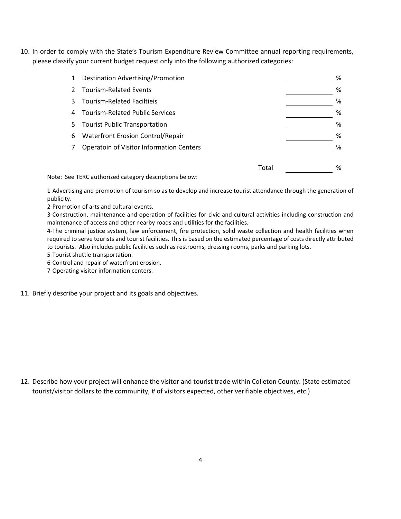10. In order to comply with the State's Tourism Expenditure Review Committee annual reporting requirements, please classify your current budget request only into the following authorized categories:

|    | Destination Advertising/Promotion        |       | % |
|----|------------------------------------------|-------|---|
|    | <b>Tourism-Related Events</b>            |       | % |
|    | <b>Tourism-Related Faciltieis</b>        |       | % |
| 4  | <b>Tourism-Related Public Services</b>   |       | % |
| 5. | <b>Tourist Public Transportation</b>     |       | % |
| 6  | <b>Waterfront Erosion Control/Repair</b> |       | % |
|    | Operatoin of Visitor Information Centers |       | % |
|    |                                          |       |   |
|    |                                          | Total | % |

Note: See TERC authorized category descriptions below:

1-Advertising and promotion of tourism so as to develop and increase tourist attendance through the generation of publicity.

2-Promotion of arts and cultural events.

3-Construction, maintenance and operation of facilities for civic and cultural activities including construction and maintenance of access and other nearby roads and utilities for the facilities.

4-The criminal justice system, law enforcement, fire protection, solid waste collection and health facilities when required to serve tourists and tourist facilities. This is based on the estimated percentage of costs directly attributed to tourists. Also includes public facilities such as restrooms, dressing rooms, parks and parking lots.

5-Tourist shuttle transportation.

6-Control and repair of waterfront erosion.

7-Operating visitor information centers.

11. Briefly describe your project and its goals and objectives.

12. Describe how your project will enhance the visitor and tourist trade within Colleton County. (State estimated tourist/visitor dollars to the community, # of visitors expected, other verifiable objectives, etc.)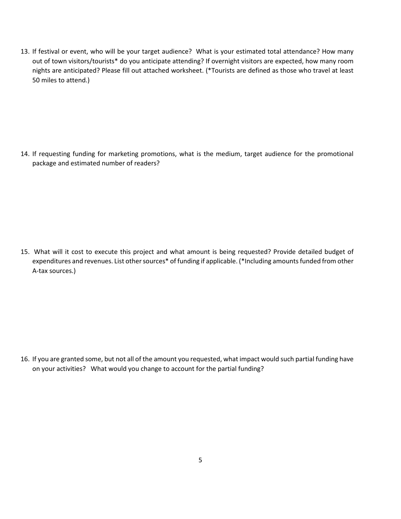13. If festival or event, who will be your target audience? What is your estimated total attendance? How many out of town visitors/tourists\* do you anticipate attending? If overnight visitors are expected, how many room nights are anticipated? Please fill out attached worksheet. (\*Tourists are defined as those who travel at least 50 miles to attend.)

14. If requesting funding for marketing promotions, what is the medium, target audience for the promotional package and estimated number of readers?

15. What will it cost to execute this project and what amount is being requested? Provide detailed budget of expenditures and revenues. List other sources\* of funding if applicable. (\*Including amounts funded from other A-tax sources.)

16. If you are granted some, but not all of the amount you requested, what impact would such partial funding have on your activities? What would you change to account for the partial funding?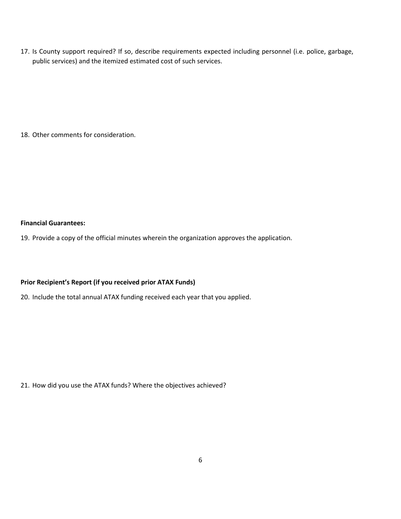17. Is County support required? If so, describe requirements expected including personnel (i.e. police, garbage, public services) and the itemized estimated cost of such services.

18. Other comments for consideration.

#### **Financial Guarantees:**

19. Provide a copy of the official minutes wherein the organization approves the application.

#### **Prior Recipient's Report (if you received prior ATAX Funds)**

20. Include the total annual ATAX funding received each year that you applied.

21. How did you use the ATAX funds? Where the objectives achieved?